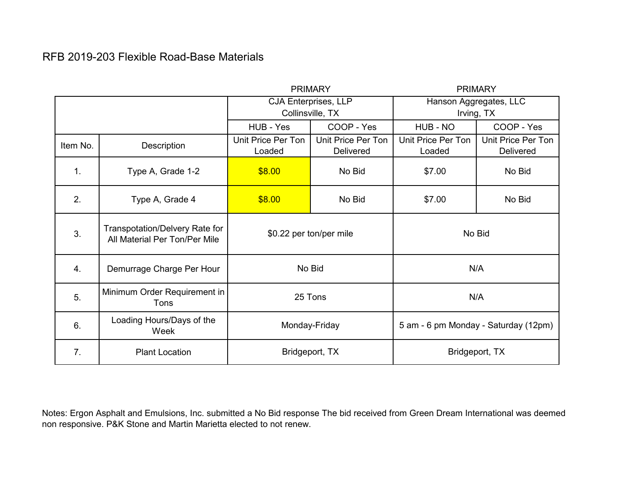## RFB 2019-203 Flexible Road-Base Materials

|                |                                                                 | <b>PRIMARY</b>               |                                        | <b>PRIMARY</b>                       |                                 |
|----------------|-----------------------------------------------------------------|------------------------------|----------------------------------------|--------------------------------------|---------------------------------|
|                |                                                                 | <b>CJA Enterprises, LLP</b>  |                                        | Hanson Aggregates, LLC               |                                 |
|                |                                                                 | Collinsville, TX             |                                        | Irving, TX                           |                                 |
|                |                                                                 | HUB - Yes                    | COOP - Yes                             | HUB - NO                             | COOP - Yes                      |
| Item No.       | Description                                                     | Unit Price Per Ton<br>Loaded | Unit Price Per Ton<br><b>Delivered</b> | Unit Price Per Ton<br>Loaded         | Unit Price Per Ton<br>Delivered |
| 1 <sub>1</sub> | Type A, Grade 1-2                                               | \$8.00                       | No Bid                                 | \$7.00                               | No Bid                          |
| 2.             | Type A, Grade 4                                                 | \$8.00                       | No Bid                                 | \$7.00                               | No Bid                          |
| 3.             | Transpotation/Delvery Rate for<br>All Material Per Ton/Per Mile | \$0.22 per ton/per mile      |                                        | No Bid                               |                                 |
| 4.             | Demurrage Charge Per Hour                                       | No Bid                       |                                        | N/A                                  |                                 |
| 5.             | Minimum Order Requirement in<br>Tons                            | 25 Tons                      |                                        | N/A                                  |                                 |
| 6.             | Loading Hours/Days of the<br>Week                               | Monday-Friday                |                                        | 5 am - 6 pm Monday - Saturday (12pm) |                                 |
| 7.             | <b>Plant Location</b>                                           | Bridgeport, TX               |                                        | Bridgeport, TX                       |                                 |

Notes: Ergon Asphalt and Emulsions, Inc. submitted a No Bid response The bid received from Green Dream International was deemed non responsive. P&K Stone and Martin Marietta elected to not renew.